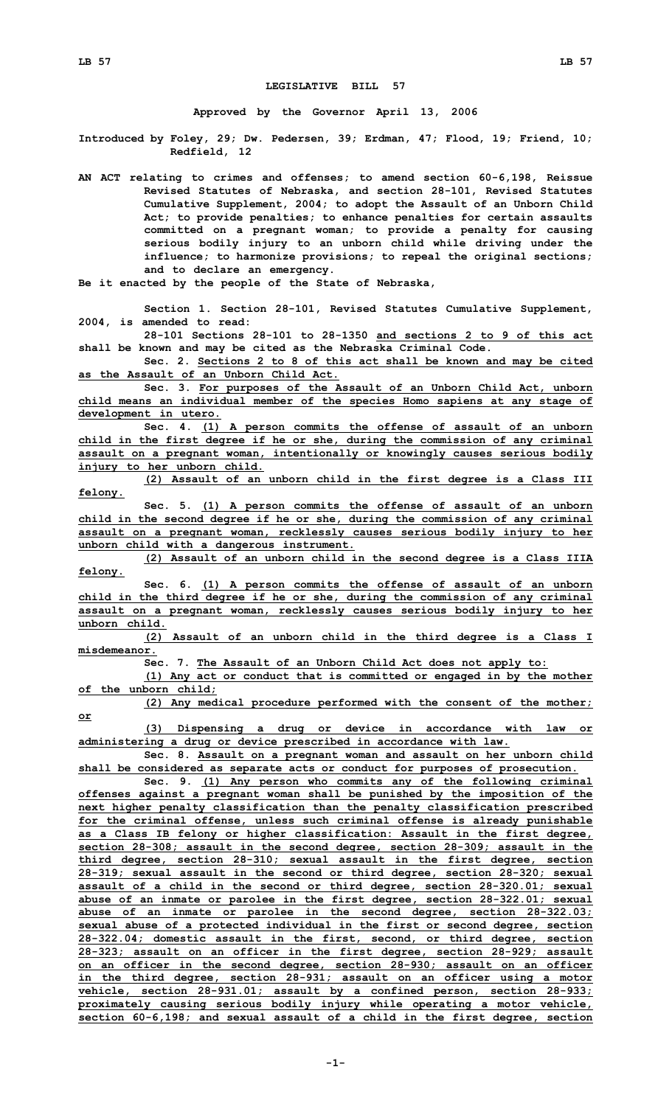## **LEGISLATIVE BILL 57**

**Approved by the Governor April 13, 2006**

**Introduced by Foley, 29; Dw. Pedersen, 39; Erdman, 47; Flood, 19; Friend, 10; Redfield, 12**

**AN ACT relating to crimes and offenses; to amend section 60-6,198, Reissue Revised Statutes of Nebraska, and section 28-101, Revised Statutes Cumulative Supplement, 2004; to adopt the Assault of an Unborn Child Act; to provide penalties; to enhance penalties for certain assaults committed on <sup>a</sup> pregnant woman; to provide <sup>a</sup> penalty for causing serious bodily injury to an unborn child while driving under the influence; to harmonize provisions; to repeal the original sections; and to declare an emergency.**

**Be it enacted by the people of the State of Nebraska,**

**Section 1. Section 28-101, Revised Statutes Cumulative Supplement, 2004, is amended to read:**

**28-101 Sections 28-101 to 28-1350 and sections 2 to 9 of this act shall be known and may be cited as the Nebraska Criminal Code.**

**Sec. 2. Sections 2 to 8 of this act shall be known and may be cited as the Assault of an Unborn Child Act.**

**Sec. 3. For purposes of the Assault of an Unborn Child Act, unborn child means an individual member of the species Homo sapiens at any stage of development in utero.**

**Sec. 4. (1) <sup>A</sup> person commits the offense of assault of an unborn child in the first degree if he or she, during the commission of any criminal assault on <sup>a</sup> pregnant woman, intentionally or knowingly causes serious bodily injury to her unborn child.**

**(2) Assault of an unborn child in the first degree is <sup>a</sup> Class III felony.**

**Sec. 5. (1) <sup>A</sup> person commits the offense of assault of an unborn child in the second degree if he or she, during the commission of any criminal assault on <sup>a</sup> pregnant woman, recklessly causes serious bodily injury to her unborn child with <sup>a</sup> dangerous instrument.**

**(2) Assault of an unborn child in the second degree is <sup>a</sup> Class IIIA felony.**

**Sec. 6. (1) <sup>A</sup> person commits the offense of assault of an unborn child in the third degree if he or she, during the commission of any criminal assault on <sup>a</sup> pregnant woman, recklessly causes serious bodily injury to her unborn child.**

**(2) Assault of an unborn child in the third degree is <sup>a</sup> Class <sup>I</sup> misdemeanor.**

**Sec. 7. The Assault of an Unborn Child Act does not apply to:**

**(1) Any act or conduct that is committed or engaged in by the mother of the unborn child;**

**(2) Any medical procedure performed with the consent of the mother; or**

**(3) Dispensing <sup>a</sup> drug or device in accordance with law or administering <sup>a</sup> drug or device prescribed in accordance with law.**

**Sec. 8. Assault on <sup>a</sup> pregnant woman and assault on her unborn child shall be considered as separate acts or conduct for purposes of prosecution.**

**Sec. 9. (1) Any person who commits any of the following criminal offenses against <sup>a</sup> pregnant woman shall be punished by the imposition of the next higher penalty classification than the penalty classification prescribed for the criminal offense, unless such criminal offense is already punishable as <sup>a</sup> Class IB felony or higher classification: Assault in the first degree, section 28-308; assault in the second degree, section 28-309; assault in the third degree, section 28-310; sexual assault in the first degree, section 28-319; sexual assault in the second or third degree, section 28-320; sexual assault of <sup>a</sup> child in the second or third degree, section 28-320.01; sexual abuse of an inmate or parolee in the first degree, section 28-322.01; sexual abuse of an inmate or parolee in the second degree, section 28-322.03; sexual abuse of <sup>a</sup> protected individual in the first or second degree, section 28-322.04; domestic assault in the first, second, or third degree, section 28-323; assault on an officer in the first degree, section 28-929; assault on an officer in the second degree, section 28-930; assault on an officer in the third degree, section 28-931; assault on an officer using <sup>a</sup> motor vehicle, section 28-931.01; assault by <sup>a</sup> confined person, section 28-933; proximately causing serious bodily injury while operating <sup>a</sup> motor vehicle, section 60-6,198; and sexual assault of <sup>a</sup> child in the first degree, section**